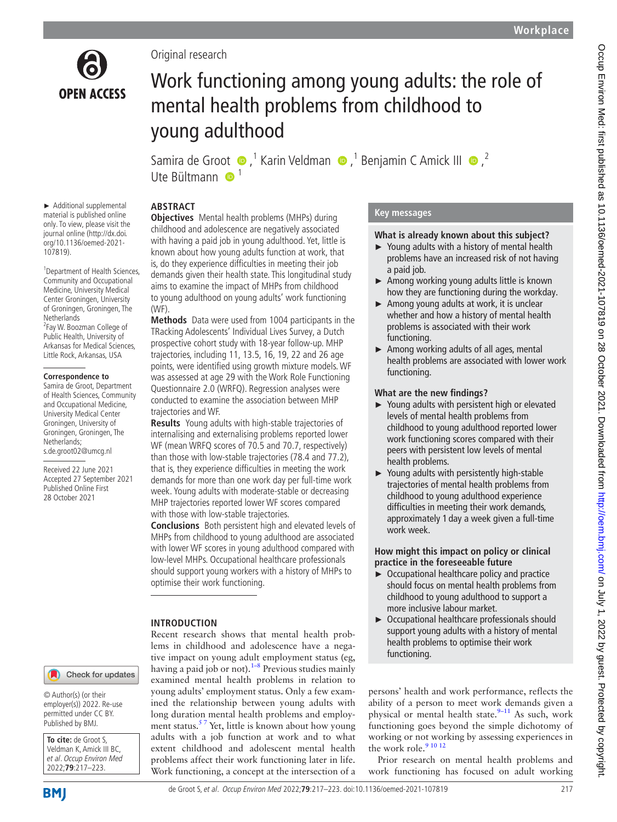

► Additional supplemental material is published online only. To view, please visit the journal online ([http://dx.doi.](http://dx.doi.org/10.1136/oemed-2021-107819) [org/10.1136/oemed-2021-](http://dx.doi.org/10.1136/oemed-2021-107819)

<sup>1</sup> Department of Health Sciences, Community and Occupational Medicine, University Medical Center Groningen, University of Groningen, Groningen, The

<sup>2</sup> Fay W. Boozman College of Public Health, University of Arkansas for Medical Sciences, Little Rock, Arkansas, USA

**Correspondence to** Samira de Groot, Department of Health Sciences, Community and Occupational Medicine, University Medical Center Groningen, University of Groningen, Groningen, The

[107819](http://dx.doi.org/10.1136/oemed-2021-107819)).

**Netherlands** 

Netherlands; s.de.groot02@umcg.nl Received 22 June 2021 Accepted 27 September 2021 Published Online First 28 October 2021

## Original research

# Work functioning among young adults: the role of mental health problems from childhood to young adulthood

Samirade Groot  $\bigcirc$ ,<sup>1</sup> Karin Veldman  $\bigcirc$ ,<sup>1</sup> Benjamin C Amick III  $\bigcirc$ ,<sup>2</sup> Ute Bültmann  $\bigcirc$ <sup>1</sup>

## **ABSTRACT**

**Objectives** Mental health problems (MHPs) during childhood and adolescence are negatively associated with having a paid job in young adulthood. Yet, little is known about how young adults function at work, that is, do they experience difficulties in meeting their job demands given their health state. This longitudinal study aims to examine the impact of MHPs from childhood to young adulthood on young adults' work functioning (WF).

**Methods** Data were used from 1004 participants in the TRacking Adolescents' Individual Lives Survey, a Dutch prospective cohort study with 18-year follow-up. MHP trajectories, including 11, 13.5, 16, 19, 22 and 26 age points, were identified using growth mixture models. WF was assessed at age 29 with the Work Role Functioning Questionnaire 2.0 (WRFQ). Regression analyses were conducted to examine the association between MHP trajectories and WF.

**Results** Young adults with high-stable trajectories of internalising and externalising problems reported lower WF (mean WRFQ scores of 70.5 and 70.7, respectively) than those with low-stable trajectories (78.4 and 77.2), that is, they experience difficulties in meeting the work demands for more than one work day per full-time work week. Young adults with moderate-stable or decreasing MHP trajectories reported lower WF scores compared with those with low-stable trajectories.

**Conclusions** Both persistent high and elevated levels of MHPs from childhood to young adulthood are associated with lower WF scores in young adulthood compared with low-level MHPs. Occupational healthcare professionals should support young workers with a history of MHPs to optimise their work functioning.

### **INTRODUCTION**

Recent research shows that mental health problems in childhood and adolescence have a negative impact on young adult employment status (eg, having a paid job or not).<sup>1-8</sup> Previous studies mainly examined mental health problems in relation to young adults' employment status. Only a few examined the relationship between young adults with long duration mental health problems and employment status.<sup>57</sup> Yet, little is known about how young adults with a job function at work and to what extent childhood and adolescent mental health problems affect their work functioning later in life. Work functioning, a concept at the intersection of a

## **Key messages**

#### **What is already known about this subject?**

- ► Young adults with a history of mental health problems have an increased risk of not having a paid job.
- ► Among working young adults little is known how they are functioning during the workday.
- ► Among young adults at work, it is unclear whether and how a history of mental health problems is associated with their work functioning.
- ► Among working adults of all ages, mental health problems are associated with lower work functioning.

#### **What are the new findings?**

- ► Young adults with persistent high or elevated levels of mental health problems from childhood to young adulthood reported lower work functioning scores compared with their peers with persistent low levels of mental health problems.
- ► Young adults with persistently high-stable trajectories of mental health problems from childhood to young adulthood experience difficulties in meeting their work demands, approximately 1 day a week given a full-time work week.

#### **How might this impact on policy or clinical practice in the foreseeable future**

- ► Occupational healthcare policy and practice should focus on mental health problems from childhood to young adulthood to support a more inclusive labour market.
- ► Occupational healthcare professionals should support young adults with a history of mental health problems to optimise their work functioning.

persons' health and work performance, reflects the ability of a person to meet work demands given a physical or mental health state. $9-11$  As such, work functioning goes beyond the simple dichotomy of working or not working by assessing experiences in the work role.<sup>9</sup> <sup>10</sup> <sup>12</sup>

Prior research on mental health problems and work functioning has focused on adult working

## Check for updates

© Author(s) (or their employer(s)) 2022. Re-use permitted under CC BY. Published by BMJ.

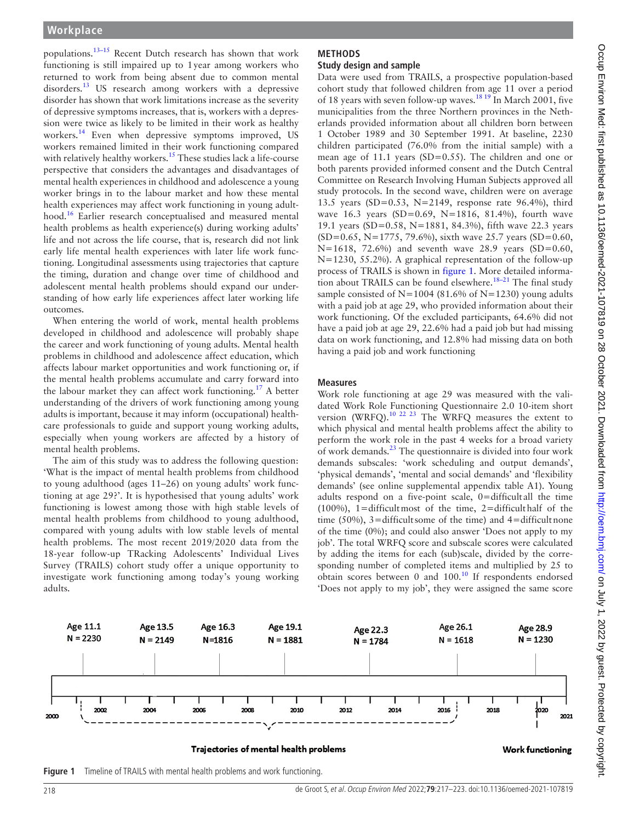**Workplace**

functioning is still impaired up to 1year among workers who returned to work from being absent due to common mental disorders.<sup>[13](#page-6-2)</sup> US research among workers with a depressive disorder has shown that work limitations increase as the severity of depressive symptoms increases, that is, workers with a depression were twice as likely to be limited in their work as healthy workers.<sup>[14](#page-6-3)</sup> Even when depressive symptoms improved, US workers remained limited in their work functioning compared with relatively healthy workers.<sup>[15](#page-6-4)</sup> These studies lack a life-course perspective that considers the advantages and disadvantages of mental health experiences in childhood and adolescence a young worker brings in to the labour market and how these mental health experiences may affect work functioning in young adult-hood.<sup>[16](#page-6-5)</sup> Earlier research conceptualised and measured mental health problems as health experience(s) during working adults' life and not across the life course, that is, research did not link early life mental health experiences with later life work functioning. Longitudinal assessments using trajectories that capture the timing, duration and change over time of childhood and adolescent mental health problems should expand our understanding of how early life experiences affect later working life outcomes.

When entering the world of work, mental health problems developed in childhood and adolescence will probably shape the career and work functioning of young adults. Mental health problems in childhood and adolescence affect education, which affects labour market opportunities and work functioning or, if the mental health problems accumulate and carry forward into the labour market they can affect work functioning.<sup>17</sup> A better understanding of the drivers of work functioning among young adults is important, because it may inform (occupational) healthcare professionals to guide and support young working adults, especially when young workers are affected by a history of mental health problems.

The aim of this study was to address the following question: 'What is the impact of mental health problems from childhood to young adulthood (ages 11–26) on young adults' work functioning at age 29?'. It is hypothesised that young adults' work functioning is lowest among those with high stable levels of mental health problems from childhood to young adulthood, compared with young adults with low stable levels of mental health problems. The most recent 2019/2020 data from the 18-year follow-up TRacking Adolescents' Individual Lives Survey (TRAILS) cohort study offer a unique opportunity to investigate work functioning among today's young working adults.

#### **METHODS Study design and sample**

Data were used from TRAILS, a prospective population-based cohort study that followed children from age 11 over a period of 18 years with seven follow-up waves.<sup>18 19</sup> In March 2001, five municipalities from the three Northern provinces in the Netherlands provided information about all children born between 1 October 1989 and 30 September 1991. At baseline, 2230 children participated (76.0% from the initial sample) with a mean age of 11.1 years (SD=0.55). The children and one or both parents provided informed consent and the Dutch Central Committee on Research Involving Human Subjects approved all study protocols. In the second wave, children were on average 13.5 years (SD=0.53, N=2149, response rate 96.4%), third wave 16.3 years (SD=0.69, N=1816, 81.4%), fourth wave 19.1 years (SD=0.58, N=1881, 84.3%), fifth wave 22.3 years  $(SD=0.65, N=1775, 79.6%)$ , sixth wave 25.7 years  $(SD=0.60, N=1775, 79.6%)$ N=1618, 72.6%) and seventh wave 28.9 years (SD=0.60, N=1230, 55.2%). A graphical representation of the follow-up process of TRAILS is shown in [figure](#page-1-0) 1. More detailed information about TRAILS can be found elsewhere.<sup>18-21</sup> The final study sample consisted of  $N=1004$  (81.6% of  $N=1230$ ) young adults with a paid job at age 29, who provided information about their work functioning. Of the excluded participants, 64.6% did not have a paid job at age 29, 22.6% had a paid job but had missing data on work functioning, and 12.8% had missing data on both having a paid job and work functioning

### **Measures**

Work role functioning at age 29 was measured with the validated Work Role Functioning Questionnaire 2.0 10-item short version (WRFQ).[10 22 23](#page-6-8) The WRFQ measures the extent to which physical and mental health problems affect the ability to perform the work role in the past 4 weeks for a broad variety of work demands. $^{23}$  The questionnaire is divided into four work demands subscales: 'work scheduling and output demands', 'physical demands', 'mental and social demands' and 'flexibility demands' (see [online supplemental appendix table A1](https://dx.doi.org/10.1136/oemed-2021-107819)). Young adults respond on a five-point scale, 0=difficult all the time (100%), 1=difficultmost of the time, 2=difficulthalf of the time (50%),  $3 =$ difficultsome of the time) and  $4 =$ difficultnone of the time (0%); and could also answer 'Does not apply to my job'. The total WRFQ score and subscale scores were calculated by adding the items for each (sub)scale, divided by the corresponding number of completed items and multiplied by 25 to obtain scores between 0 and 100.[10](#page-6-8) If respondents endorsed 'Does not apply to my job', they were assigned the same score



Trajectories of mental health problems



<span id="page-1-0"></span>**Figure 1** Timeline of TRAILS with mental health problems and work functioning.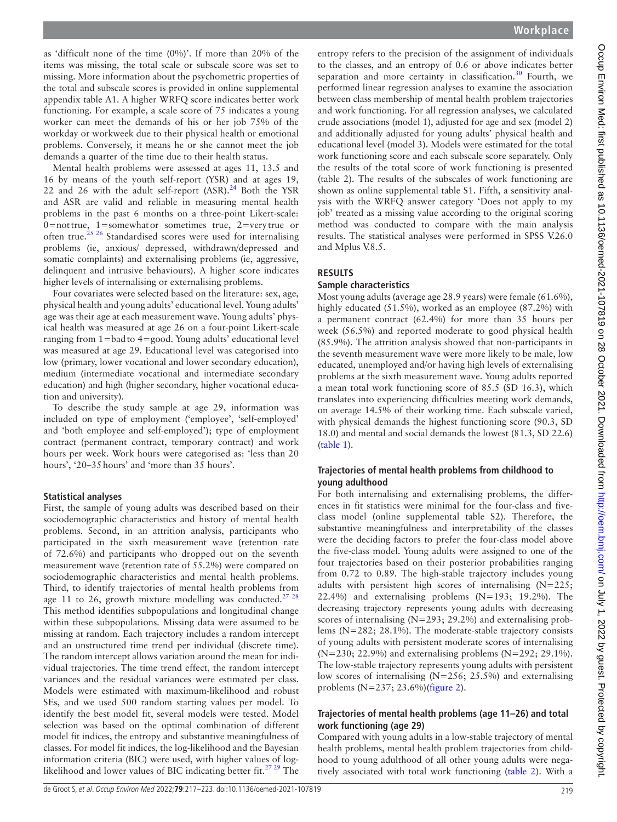as 'difficult none of the time (0%)'. If more than 20% of the items was missing, the total scale or subscale score was set to missing. More information about the psychometric properties of the total and subscale scores is provided in [online supplemental](https://dx.doi.org/10.1136/oemed-2021-107819)  [appendix table A1.](https://dx.doi.org/10.1136/oemed-2021-107819) A higher WRFQ score indicates better work functioning. For example, a scale score of 75 indicates a young worker can meet the demands of his or her job 75% of the workday or workweek due to their physical health or emotional problems. Conversely, it means he or she cannot meet the job demands a quarter of the time due to their health status.

Mental health problems were assessed at ages 11, 13.5 and 16 by means of the youth self-report (YSR) and at ages 19, 22 and 26 with the adult self-report  $(ASR).^{24}$  $(ASR).^{24}$  $(ASR).^{24}$  Both the YSR and ASR are valid and reliable in measuring mental health problems in the past 6 months on a three-point Likert-scale: 0=nottrue, 1=somewhator sometimes true, 2=very true or often true.<sup>[25 26](#page-6-11)</sup> Standardised scores were used for internalising problems (ie, anxious/ depressed, withdrawn/depressed and somatic complaints) and externalising problems (ie, aggressive, delinquent and intrusive behaviours). A higher score indicates higher levels of internalising or externalising problems.

Four covariates were selected based on the literature: sex, age, physical health and young adults' educational level. Young adults' age was their age at each measurement wave. Young adults' physical health was measured at age 26 on a four-point Likert-scale ranging from 1=badto 4=good. Young adults' educational level was measured at age 29. Educational level was categorised into low (primary, lower vocational and lower secondary education), medium (intermediate vocational and intermediate secondary education) and high (higher secondary, higher vocational education and university).

To describe the study sample at age 29, information was included on type of employment ('employee', 'self-employed' and 'both employee and self-employed'); type of employment contract (permanent contract, temporary contract) and work hours per week. Work hours were categorised as: 'less than 20 hours', '20–35hours' and 'more than 35 hours'.

#### **Statistical analyses**

First, the sample of young adults was described based on their sociodemographic characteristics and history of mental health problems. Second, in an attrition analysis, participants who participated in the sixth measurement wave (retention rate of 72.6%) and participants who dropped out on the seventh measurement wave (retention rate of 55.2%) were compared on sociodemographic characteristics and mental health problems. Third, to identify trajectories of mental health problems from age 11 to 26, growth mixture modelling was conducted.<sup>27</sup>  $28$ This method identifies subpopulations and longitudinal change within these subpopulations. Missing data were assumed to be missing at random. Each trajectory includes a random intercept and an unstructured time trend per individual (discrete time). The random intercept allows variation around the mean for individual trajectories. The time trend effect, the random intercept variances and the residual variances were estimated per class. Models were estimated with maximum-likelihood and robust SEs, and we used 500 random starting values per model. To identify the best model fit, several models were tested. Model selection was based on the optimal combination of different model fit indices, the entropy and substantive meaningfulness of classes. For model fit indices, the log-likelihood and the Bayesian information criteria (BIC) were used, with higher values of loglikelihood and lower values of BIC indicating better fit.<sup>27</sup> 29 The

entropy refers to the precision of the assignment of individuals to the classes, and an entropy of 0.6 or above indicates better separation and more certainty in classification.<sup>[30](#page-6-13)</sup> Fourth, we performed linear regression analyses to examine the association between class membership of mental health problem trajectories and work functioning. For all regression analyses, we calculated crude associations (model 1), adjusted for age and sex (model 2) and additionally adjusted for young adults' physical health and educational level (model 3). Models were estimated for the total work functioning score and each subscale score separately. Only the results of the total score of work functioning is presented (table 2). The results of the subscales of work functioning are shown as [online supplemental table S1](https://dx.doi.org/10.1136/oemed-2021-107819). Fifth, a sensitivity analysis with the WRFQ answer category 'Does not apply to my job' treated as a missing value according to the original scoring method was conducted to compare with the main analysis results. The statistical analyses were performed in SPSS V.26.0 and Mplus V.8.5.

#### **RESULTS**

#### **Sample characteristics**

Most young adults (average age 28.9 years) were female (61.6%), highly educated (51.5%), worked as an employee (87.2%) with a permanent contract (62.4%) for more than 35 hours per week (56.5%) and reported moderate to good physical health (85.9%). The attrition analysis showed that non-participants in the seventh measurement wave were more likely to be male, low educated, unemployed and/or having high levels of externalising problems at the sixth measurement wave. Young adults reported a mean total work functioning score of 85.5 (SD 16.3), which translates into experiencing difficulties meeting work demands, on average 14.5% of their working time. Each subscale varied, with physical demands the highest functioning score (90.3, SD 18.0) and mental and social demands the lowest (81.3, SD 22.6) ([table](#page-3-0) 1).

#### **Trajectories of mental health problems from childhood to young adulthood**

For both internalising and externalising problems, the differences in fit statistics were minimal for the four-class and fiveclass model ([online supplemental table S2](https://dx.doi.org/10.1136/oemed-2021-107819)). Therefore, the substantive meaningfulness and interpretability of the classes were the deciding factors to prefer the four-class model above the five-class model. Young adults were assigned to one of the four trajectories based on their posterior probabilities ranging from 0.72 to 0.89. The high-stable trajectory includes young adults with persistent high scores of internalising (N=225; 22.4%) and externalising problems  $(N=193; 19.2\%)$ . The decreasing trajectory represents young adults with decreasing scores of internalising (N=293; 29.2%) and externalising problems (N=282; 28.1%). The moderate-stable trajectory consists of young adults with persistent moderate scores of internalising (N=230; 22.9%) and externalising problems (N=292; 29.1%). The low-stable trajectory represents young adults with persistent low scores of internalising (N=256; 25.5%) and externalising problems (N=237; 23.6%)([figure](#page-4-0) 2).

#### **Trajectories of mental health problems (age 11–26) and total work functioning (age 29)**

Compared with young adults in a low-stable trajectory of mental health problems, mental health problem trajectories from childhood to young adulthood of all other young adults were negatively associated with total work functioning [\(table](#page-4-1) 2). With a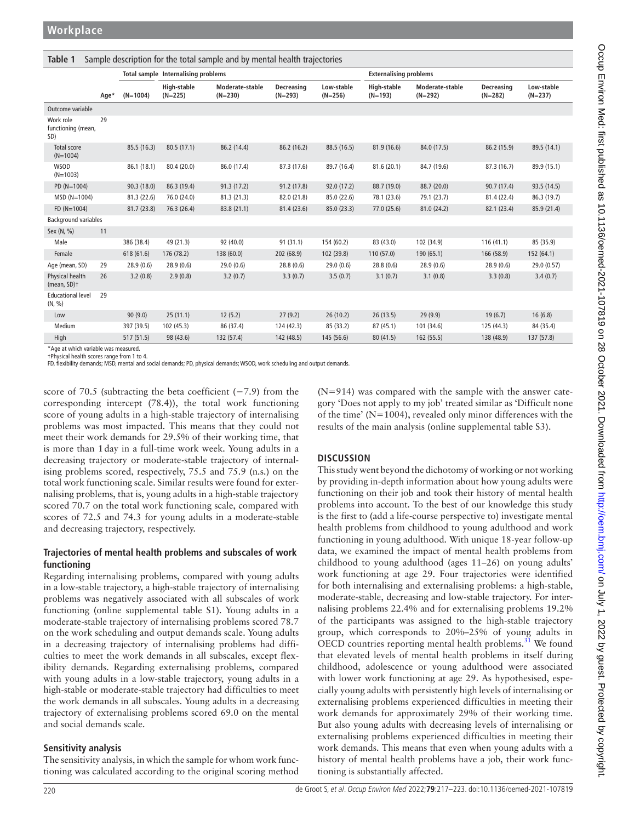<span id="page-3-0"></span>

| Sample description for the total sample and by mental health trajectories<br>Table 1 |      |             |                                     |                              |                         |                         |                               |                              |                                |                         |  |  |  |
|--------------------------------------------------------------------------------------|------|-------------|-------------------------------------|------------------------------|-------------------------|-------------------------|-------------------------------|------------------------------|--------------------------------|-------------------------|--|--|--|
|                                                                                      |      |             | Total sample Internalising problems |                              |                         |                         | <b>Externalising problems</b> |                              |                                |                         |  |  |  |
|                                                                                      | Age* | $(N=1004)$  | High-stable<br>$(N=225)$            | Moderate-stable<br>$(N=230)$ | Decreasing<br>$(N=293)$ | Low-stable<br>$(N=256)$ | High-stable<br>$(N=193)$      | Moderate-stable<br>$(N=292)$ | <b>Decreasing</b><br>$(N=282)$ | Low-stable<br>$(N=237)$ |  |  |  |
| Outcome variable                                                                     |      |             |                                     |                              |                         |                         |                               |                              |                                |                         |  |  |  |
| Work role<br>functioning (mean,<br>SD)                                               | 29   |             |                                     |                              |                         |                         |                               |                              |                                |                         |  |  |  |
| Total score<br>$(N=1004)$                                                            |      | 85.5 (16.3) | 80.5 (17.1)                         | 86.2 (14.4)                  | 86.2 (16.2)             | 88.5 (16.5)             | 81.9 (16.6)                   | 84.0 (17.5)                  | 86.2 (15.9)                    | 89.5 (14.1)             |  |  |  |
| <b>WSOD</b><br>$(N=1003)$                                                            |      | 86.1 (18.1) | 80.4 (20.0)                         | 86.0 (17.4)                  | 87.3 (17.6)             | 89.7 (16.4)             | 81.6 (20.1)                   | 84.7 (19.6)                  | 87.3 (16.7)                    | 89.9 (15.1)             |  |  |  |
| PD (N=1004)                                                                          |      | 90.3(18.0)  | 86.3 (19.4)                         | 91.3(17.2)                   | 91.2(17.8)              | 92.0 (17.2)             | 88.7 (19.0)                   | 88.7 (20.0)                  | 90.7 (17.4)                    | 93.5 (14.5)             |  |  |  |
| $MSD(N=1004)$                                                                        |      | 81.3 (22.6) | 76.0 (24.0)                         | 81.3(21.3)                   | 82.0 (21.8)             | 85.0 (22.6)             | 78.1 (23.6)                   | 79.1 (23.7)                  | 81.4 (22.4)                    | 86.3 (19.7)             |  |  |  |
| $FD (N=1004)$                                                                        |      | 81.7(23.8)  | 76.3 (26.4)                         | 83.8 (21.1)                  | 81.4 (23.6)             | 85.0 (23.3)             | 77.0 (25.6)                   | 81.0 (24.2)                  | 82.1 (23.4)                    | 85.9 (21.4)             |  |  |  |
| <b>Background variables</b>                                                          |      |             |                                     |                              |                         |                         |                               |                              |                                |                         |  |  |  |
| Sex (N, %)                                                                           | 11   |             |                                     |                              |                         |                         |                               |                              |                                |                         |  |  |  |
| Male                                                                                 |      | 386 (38.4)  | 49 (21.3)                           | 92 (40.0)                    | 91(31.1)                | 154 (60.2)              | 83 (43.0)                     | 102 (34.9)                   | 116(41.1)                      | 85 (35.9)               |  |  |  |
| Female                                                                               |      | 618(61.6)   | 176 (78.2)                          | 138 (60.0)                   | 202 (68.9)              | 102 (39.8)              | 110 (57.0)                    | 190 (65.1)                   | 166 (58.9)                     | 152 (64.1)              |  |  |  |
| Age (mean, SD)                                                                       | 29   | 28.9(0.6)   | 28.9 (0.6)                          | 29.0(0.6)                    | 28.8(0.6)               | 29.0(0.6)               | 28.8(0.6)                     | 28.9(0.6)                    | 28.9(0.6)                      | 29.0 (0.57)             |  |  |  |
| Physical health<br>(mean, SD)+                                                       | 26   | 3.2(0.8)    | 2.9(0.8)                            | 3.2(0.7)                     | 3.3(0.7)                | 3.5(0.7)                | 3.1(0.7)                      | 3.1(0.8)                     | 3.3(0.8)                       | 3.4(0.7)                |  |  |  |
| <b>Educational level</b><br>(N, %)                                                   | 29   |             |                                     |                              |                         |                         |                               |                              |                                |                         |  |  |  |
| Low                                                                                  |      | 90(9.0)     | 25(11.1)                            | 12(5.2)                      | 27(9.2)                 | 26(10.2)                | 26(13.5)                      | 29(9.9)                      | 19(6.7)                        | 16(6.8)                 |  |  |  |
| Medium                                                                               |      | 397 (39.5)  | 102 (45.3)                          | 86 (37.4)                    | 124 (42.3)              | 85 (33.2)               | 87 (45.1)                     | 101 (34.6)                   | 125 (44.3)                     | 84 (35.4)               |  |  |  |
| High                                                                                 |      | 517 (51.5)  | 98 (43.6)                           | 132 (57.4)                   | 142 (48.5)              | 145 (56.6)              | 80 (41.5)                     | 162 (55.5)                   | 138 (48.9)                     | 137 (57.8)              |  |  |  |

\*Age at which variable was measured. †Physical health scores range from 1 to 4.

FD, flexibility demands; MSD, mental and social demands; PD, physical demands; WSOD, work scheduling and output demands.

score of 70.5 (subtracting the beta coefficient (−7.9) from the corresponding intercept (78.4)), the total work functioning score of young adults in a high-stable trajectory of internalising problems was most impacted. This means that they could not meet their work demands for 29.5% of their working time, that is more than 1day in a full-time work week. Young adults in a decreasing trajectory or moderate-stable trajectory of internalising problems scored, respectively, 75.5 and 75.9 (n.s.) on the total work functioning scale. Similar results were found for externalising problems, that is, young adults in a high-stable trajectory scored 70.7 on the total work functioning scale, compared with scores of 72.5 and 74.3 for young adults in a moderate-stable and decreasing trajectory, respectively.

#### **Trajectories of mental health problems and subscales of work functioning**

Regarding internalising problems, compared with young adults in a low-stable trajectory, a high-stable trajectory of internalising problems was negatively associated with all subscales of work functioning [\(online supplemental table S1\)](https://dx.doi.org/10.1136/oemed-2021-107819). Young adults in a moderate-stable trajectory of internalising problems scored 78.7 on the work scheduling and output demands scale. Young adults in a decreasing trajectory of internalising problems had difficulties to meet the work demands in all subscales, except flexibility demands. Regarding externalising problems, compared with young adults in a low-stable trajectory, young adults in a high-stable or moderate-stable trajectory had difficulties to meet the work demands in all subscales. Young adults in a decreasing trajectory of externalising problems scored 69.0 on the mental and social demands scale.

#### **Sensitivity analysis**

The sensitivity analysis, in which the sample for whom work functioning was calculated according to the original scoring method

(N=914) was compared with the sample with the answer category 'Does not apply to my job' treated similar as 'Difficult none of the time' (N=1004), revealed only minor differences with the results of the main analysis ([online supplemental table S3\)](https://dx.doi.org/10.1136/oemed-2021-107819).

### **DISCUSSION**

This study went beyond the dichotomy of working or not working by providing in-depth information about how young adults were functioning on their job and took their history of mental health problems into account. To the best of our knowledge this study is the first to (add a life-course perspective to) investigate mental health problems from childhood to young adulthood and work functioning in young adulthood. With unique 18-year follow-up data, we examined the impact of mental health problems from childhood to young adulthood (ages 11–26) on young adults' work functioning at age 29. Four trajectories were identified for both internalising and externalising problems: a high-stable, moderate-stable, decreasing and low-stable trajectory. For internalising problems 22.4% and for externalising problems 19.2% of the participants was assigned to the high-stable trajectory group, which corresponds to 20%–25% of young adults in OECD countries reporting mental health problems.<sup>31</sup> We found that elevated levels of mental health problems in itself during childhood, adolescence or young adulthood were associated with lower work functioning at age 29. As hypothesised, especially young adults with persistently high levels of internalising or externalising problems experienced difficulties in meeting their work demands for approximately 29% of their working time. But also young adults with decreasing levels of internalising or externalising problems experienced difficulties in meeting their work demands. This means that even when young adults with a history of mental health problems have a job, their work functioning is substantially affected.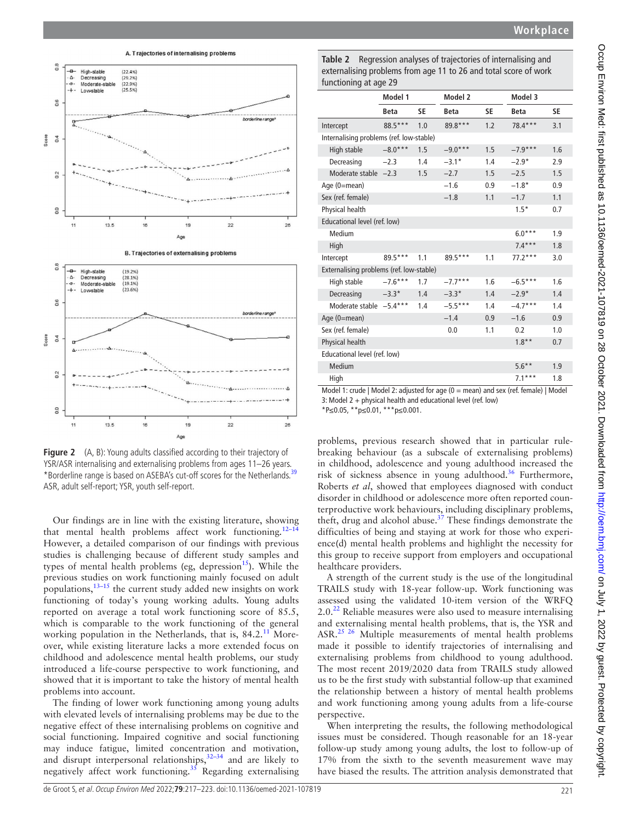



<span id="page-4-0"></span>**Figure 2** (A, B): Young adults classified according to their trajectory of YSR/ASR internalising and externalising problems from ages 11–26 years. \*Borderline range is based on ASEBA's cut-off scores for the Netherlands.<sup>[39](#page-6-22)</sup> ASR, adult self-report; YSR, youth self-report.

Our findings are in line with the existing literature, showing that mental health problems affect work functioning.<sup>12-14</sup> However, a detailed comparison of our findings with previous studies is challenging because of different study samples and types of mental health problems (eg, depression<sup>[15](#page-6-4)</sup>). While the previous studies on work functioning mainly focused on adult populations, $13-15$  the current study added new insights on work functioning of today's young working adults. Young adults reported on average a total work functioning score of 85.5, which is comparable to the work functioning of the general working population in the Netherlands, that is, 84.2.<sup>11</sup> Moreover, while existing literature lacks a more extended focus on childhood and adolescence mental health problems, our study introduced a life-course perspective to work functioning, and showed that it is important to take the history of mental health problems into account.

The finding of lower work functioning among young adults with elevated levels of internalising problems may be due to the negative effect of these internalising problems on cognitive and social functioning. Impaired cognitive and social functioning may induce fatigue, limited concentration and motivation, and disrupt interpersonal relationships,  $32-34$  and are likely to negatively affect work functioning.<sup>[35](#page-6-18)</sup> Regarding externalising

<span id="page-4-1"></span>**Table 2** Regression analyses of trajectories of internalising and externalising problems from age 11 to 26 and total score of work functioning at age 29

|                                          | Model 1     |     | Model 2     |     | Model 3     |     |  |  |  |  |  |
|------------------------------------------|-------------|-----|-------------|-----|-------------|-----|--|--|--|--|--|
|                                          | <b>Beta</b> | SE  | <b>Beta</b> | SE  | <b>Beta</b> | SE  |  |  |  |  |  |
| Intercept                                | 88.5***     | 1.0 | 89.8***     | 1.2 | $78.4***$   | 3.1 |  |  |  |  |  |
| Internalising problems (ref. low-stable) |             |     |             |     |             |     |  |  |  |  |  |
| High stable                              | $-8.0***$   | 1.5 | $-9.0***$   | 1.5 | $-7.9***$   | 1.6 |  |  |  |  |  |
| Decreasing                               | $-2.3$      | 1.4 | $-3.1*$     | 1.4 | $-2.9*$     | 2.9 |  |  |  |  |  |
| Moderate stable $-2.3$                   |             | 1.5 | $-2.7$      | 1.5 | $-2.5$      | 1.5 |  |  |  |  |  |
| Age (0=mean)                             |             |     | $-1.6$      | 0.9 | $-1.8*$     | 0.9 |  |  |  |  |  |
| Sex (ref. female)                        |             |     | $-1.8$      | 1.1 | $-1.7$      | 1.1 |  |  |  |  |  |
| Physical health                          |             |     |             |     | $1.5*$      | 0.7 |  |  |  |  |  |
| Educational level (ref. low)             |             |     |             |     |             |     |  |  |  |  |  |
| Medium                                   |             |     |             |     | $6.0***$    | 1.9 |  |  |  |  |  |
| High                                     |             |     |             |     | $7.4***$    | 1.8 |  |  |  |  |  |
| Intercept                                | 89.5***     | 1.1 | 89.5***     | 1.1 | $77.2***$   | 3.0 |  |  |  |  |  |
| Externalising problems (ref. low-stable) |             |     |             |     |             |     |  |  |  |  |  |
| High stable                              | $-7.6***$   | 1.7 | $-7.7***$   | 1.6 | $-6.5***$   | 1.6 |  |  |  |  |  |
| Decreasing                               | $-3.3*$     | 1.4 | $-3.3*$     | 1.4 | $-2.9*$     | 1.4 |  |  |  |  |  |
| Moderate stable -5.4***                  |             | 1.4 | $-5.5***$   | 1.4 | $-4.7***$   | 1.4 |  |  |  |  |  |
| Age (0=mean)                             |             |     | $-1.4$      | 0.9 | $-1.6$      | 0.9 |  |  |  |  |  |
| Sex (ref. female)                        |             |     | 0.0         | 1.1 | 0.2         | 1.0 |  |  |  |  |  |
| Physical health                          |             |     |             |     | $1.8**$     | 0.7 |  |  |  |  |  |
| Educational level (ref. low)             |             |     |             |     |             |     |  |  |  |  |  |
| Medium                                   |             |     |             |     | $5.6***$    | 1.9 |  |  |  |  |  |
| High                                     |             |     |             |     | $7.1***$    | 1.8 |  |  |  |  |  |

Model 1: crude | Model 2: adjusted for age  $(0 = \text{mean})$  and sex (ref. female) | Model

3: Model 2 + physical health and educational level (ref. low)

\*P*≤*0.05, \*\*p*≤*0.01, \*\*\*p*≤*0.001.

problems, previous research showed that in particular rulebreaking behaviour (as a subscale of externalising problems) in childhood, adolescence and young adulthood increased the risk of sickness absence in young adulthood.<sup>[36](#page-6-19)</sup> Furthermore, Roberts *et al*, showed that employees diagnosed with conduct disorder in childhood or adolescence more often reported counterproductive work behaviours, including disciplinary problems, theft, drug and alcohol abuse.<sup>37</sup> These findings demonstrate the difficulties of being and staying at work for those who experience(d) mental health problems and highlight the necessity for this group to receive support from employers and occupational healthcare providers.

A strength of the current study is the use of the longitudinal TRAILS study with 18-year follow-up. Work functioning was assessed using the validated 10-item version of the WRFQ  $2.0<sup>22</sup>$  $2.0<sup>22</sup>$  $2.0<sup>22</sup>$  Reliable measures were also used to measure internalising and externalising mental health problems, that is, the YSR and ASR.<sup>25 26</sup> Multiple measurements of mental health problems made it possible to identify trajectories of internalising and externalising problems from childhood to young adulthood. The most recent 2019/2020 data from TRAILS study allowed us to be the first study with substantial follow-up that examined the relationship between a history of mental health problems and work functioning among young adults from a life-course perspective.

When interpreting the results, the following methodological issues must be considered. Though reasonable for an 18-year follow-up study among young adults, the lost to follow-up of 17% from the sixth to the seventh measurement wave may have biased the results. The attrition analysis demonstrated that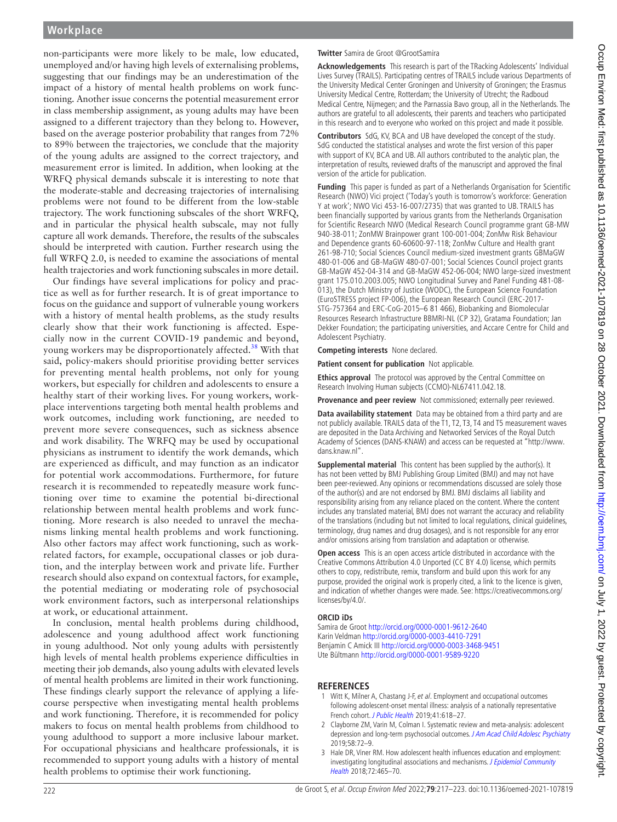non-participants were more likely to be male, low educated, unemployed and/or having high levels of externalising problems, suggesting that our findings may be an underestimation of the impact of a history of mental health problems on work functioning. Another issue concerns the potential measurement error in class membership assignment, as young adults may have been assigned to a different trajectory than they belong to. However, based on the average posterior probability that ranges from 72% to 89% between the trajectories, we conclude that the majority of the young adults are assigned to the correct trajectory, and measurement error is limited. In addition, when looking at the WRFQ physical demands subscale it is interesting to note that the moderate-stable and decreasing trajectories of internalising problems were not found to be different from the low-stable trajectory. The work functioning subscales of the short WRFQ, and in particular the physical health subscale, may not fully capture all work demands. Therefore, the results of the subscales should be interpreted with caution. Further research using the full WRFQ 2.0, is needed to examine the associations of mental health trajectories and work functioning subscales in more detail.

Our findings have several implications for policy and practice as well as for further research. It is of great importance to focus on the guidance and support of vulnerable young workers with a history of mental health problems, as the study results clearly show that their work functioning is affected. Especially now in the current COVID-19 pandemic and beyond, young workers may be disproportionately affected.<sup>[38](#page-6-23)</sup> With that said, policy-makers should prioritise providing better services for preventing mental health problems, not only for young workers, but especially for children and adolescents to ensure a healthy start of their working lives. For young workers, workplace interventions targeting both mental health problems and work outcomes, including work functioning, are needed to prevent more severe consequences, such as sickness absence and work disability. The WRFQ may be used by occupational physicians as instrument to identify the work demands, which are experienced as difficult, and may function as an indicator for potential work accommodations. Furthermore, for future research it is recommended to repeatedly measure work functioning over time to examine the potential bi-directional relationship between mental health problems and work functioning. More research is also needed to unravel the mechanisms linking mental health problems and work functioning. Also other factors may affect work functioning, such as workrelated factors, for example, occupational classes or job duration, and the interplay between work and private life. Further research should also expand on contextual factors, for example, the potential mediating or moderating role of psychosocial work environment factors, such as interpersonal relationships at work, or educational attainment.

In conclusion, mental health problems during childhood, adolescence and young adulthood affect work functioning in young adulthood. Not only young adults with persistently high levels of mental health problems experience difficulties in meeting their job demands, also young adults with elevated levels of mental health problems are limited in their work functioning. These findings clearly support the relevance of applying a lifecourse perspective when investigating mental health problems and work functioning. Therefore, it is recommended for policy makers to focus on mental health problems from childhood to young adulthood to support a more inclusive labour market. For occupational physicians and healthcare professionals, it is recommended to support young adults with a history of mental health problems to optimise their work functioning.

#### **Twitter** Samira de Groot [@GrootSamira](https://twitter.com/GrootSamira)

**Acknowledgements** This research is part of the TRacking Adolescents' Individual Lives Survey (TRAILS). Participating centres of TRAILS include various Departments of the University Medical Center Groningen and University of Groningen; the Erasmus University Medical Centre, Rotterdam; the University of Utrecht; the Radboud Medical Centre, Nijmegen; and the Parnassia Bavo group, all in the Netherlands. The authors are grateful to all adolescents, their parents and teachers who participated in this research and to everyone who worked on this project and made it possible.

**Contributors** SdG, KV, BCA and UB have developed the concept of the study. SdG conducted the statistical analyses and wrote the first version of this paper with support of KV, BCA and UB. All authors contributed to the analytic plan, the interpretation of results, reviewed drafts of the manuscript and approved the final version of the article for publication.

**Funding** This paper is funded as part of a Netherlands Organisation for Scientific Research (NWO) Vici project ('Today's youth is tomorrow's workforce: Generation Y at work'; NWO Vici 453-16-007/2735) that was granted to UB. TRAILS has been financially supported by various grants from the Netherlands Organisation for Scientific Research NWO (Medical Research Council programme grant GB-MW 940-38-011; ZonMW Brainpower grant 100-001-004; ZonMw Risk Behaviour and Dependence grants 60-60600-97-118; ZonMw Culture and Health grant 261-98-710; Social Sciences Council medium-sized investment grants GBMaGW 480-01-006 and GB-MaGW 480-07-001; Social Sciences Council project grants GB-MaGW 452-04-314 and GB-MaGW 452-06-004; NWO large-sized investment grant 175.010.2003.005; NWO Longitudinal Survey and Panel Funding 481-08- 013), the Dutch Ministry of Justice (WODC), the European Science Foundation (EuroSTRESS project FP-006), the European Research Council (ERC-2017- STG-757364 and ERC-CoG-2015–6 81 466), Biobanking and Biomolecular Resources Research Infrastructure BBMRI-NL (CP 32), Gratama Foundation; Jan Dekker Foundation; the participating universities, and Accare Centre for Child and Adolescent Psychiatry.

**Competing interests** None declared.

**Patient consent for publication** Not applicable.

**Ethics approval** The protocol was approved by the Central Committee on Research Involving Human subjects (CCMO)-NL67411.042.18.

**Provenance and peer review** Not commissioned; externally peer reviewed.

**Data availability statement** Data may be obtained from a third party and are not publicly available. TRAILS data of the T1, T2, T3, T4 and T5 measurement waves are deposited in the Data Archiving and Networked Services of the Royal Dutch Academy of Sciences (DANS-KNAW) and access can be requested at ["http://www.](http://www.dans.knaw.nl/) [dans.knaw.nl](http://www.dans.knaw.nl/)".

**Supplemental material** This content has been supplied by the author(s). It has not been vetted by BMJ Publishing Group Limited (BMJ) and may not have been peer-reviewed. Any opinions or recommendations discussed are solely those of the author(s) and are not endorsed by BMJ. BMJ disclaims all liability and responsibility arising from any reliance placed on the content. Where the content includes any translated material, BMJ does not warrant the accuracy and reliability of the translations (including but not limited to local regulations, clinical guidelines, terminology, drug names and drug dosages), and is not responsible for any error and/or omissions arising from translation and adaptation or otherwise.

**Open access** This is an open access article distributed in accordance with the Creative Commons Attribution 4.0 Unported (CC BY 4.0) license, which permits others to copy, redistribute, remix, transform and build upon this work for any purpose, provided the original work is properly cited, a link to the licence is given, and indication of whether changes were made. See: [https://creativecommons.org/](https://creativecommons.org/licenses/by/4.0/) [licenses/by/4.0/.](https://creativecommons.org/licenses/by/4.0/)

#### **ORCID iDs**

Samira de Groot <http://orcid.org/0000-0001-9612-2640> Karin Veldman <http://orcid.org/0000-0003-4410-7291> Benjamin C Amick III <http://orcid.org/0000-0003-3468-9451> Ute Bültmann <http://orcid.org/0000-0001-9589-9220>

#### **REFERENCES**

- <span id="page-5-0"></span>1 Witt K, Milner A, Chastang J-F, et al. Employment and occupational outcomes following adolescent-onset mental illness: analysis of a nationally representative French cohort. [J Public Health](http://dx.doi.org/10.1093/pubmed/fdy160) 2019;41:618–27.
- 2 Clayborne ZM, Varin M, Colman I. Systematic review and meta-analysis: adolescent depression and long-term psychosocial outcomes. [J Am Acad Child Adolesc Psychiatry](http://dx.doi.org/10.1016/j.jaac.2018.07.896) 2019;58:72–9.
- 3 Hale DR, Viner RM. How adolescent health influences education and employment: investigating longitudinal associations and mechanisms. J Epidemiol Community [Health](http://dx.doi.org/10.1136/jech-2017-209605) 2018;72:465–70.